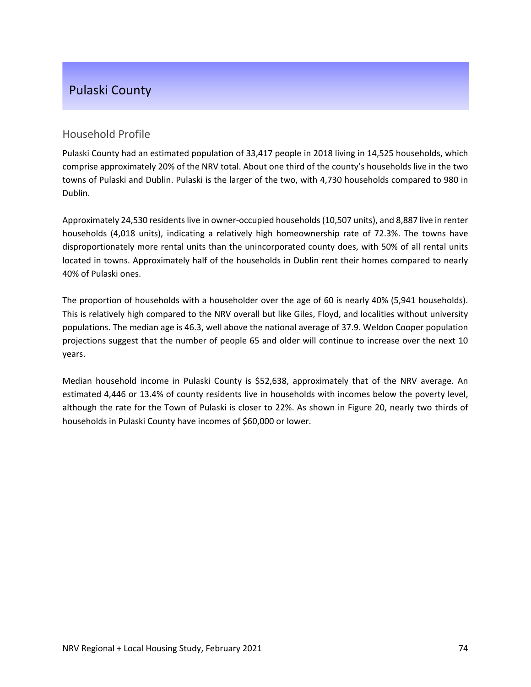# Pulaski County

#### Household Profile

Pulaski County had an estimated population of 33,417 people in 2018 living in 14,525 households, which comprise approximately 20% of the NRV total. About one third of the county's households live in the two towns of Pulaski and Dublin. Pulaski is the larger of the two, with 4,730 households compared to 980 in Dublin.

Approximately 24,530 residents live in owner-occupied households (10,507 units), and 8,887 live in renter households (4,018 units), indicating a relatively high homeownership rate of 72.3%. The towns have disproportionately more rental units than the unincorporated county does, with 50% of all rental units located in towns. Approximately half of the households in Dublin rent their homes compared to nearly 40% of Pulaski ones.

The proportion of households with a householder over the age of 60 is nearly 40% (5,941 households). This is relatively high compared to the NRV overall but like Giles, Floyd, and localities without university populations. The median age is 46.3, well above the national average of 37.9. Weldon Cooper population projections suggest that the number of people 65 and older will continue to increase over the next 10 years.

Median household income in Pulaski County is \$52,638, approximately that of the NRV average. An estimated 4,446 or 13.4% of county residents live in households with incomes below the poverty level, although the rate for the Town of Pulaski is closer to 22%. As shown in Figure 20, nearly two thirds of households in Pulaski County have incomes of \$60,000 or lower.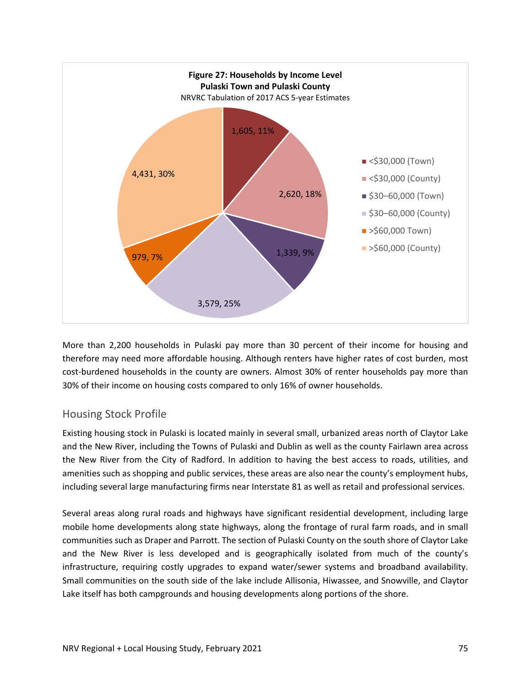

More than 2,200 households in Pulaski pay more than 30 percent of their income for housing and therefore may need more affordable housing. Although renters have higher rates of cost burden, most cost-burdened households in the county are owners. Almost 30% of renter households pay more than 30% of their income on housing costs compared to only 16% of owner households.

## Housing Stock Profile

Existing housing stock in Pulaski is located mainly in several small, urbanized areas north of Claytor Lake and the New River, including the Towns of Pulaski and Dublin as well as the county Fairlawn area across the New River from the City of Radford. In addition to having the best access to roads, utilities, and amenities such as shopping and public services, these areas are also near the county's employment hubs, including several large manufacturing firms near Interstate 81 as well as retail and professional services.

Several areas along rural roads and highways have significant residential development, including large mobile home developments along state highways, along the frontage of rural farm roads, and in small communities such as Draper and Parrott. The section of Pulaski County on the south shore of Claytor Lake and the New River is less developed and is geographically isolated from much of the county's infrastructure, requiring costly upgrades to expand water/sewer systems and broadband availability. Small communities on the south side of the lake include Allisonia, Hiwassee, and Snowville, and Claytor Lake itself has both campgrounds and housing developments along portions of the shore.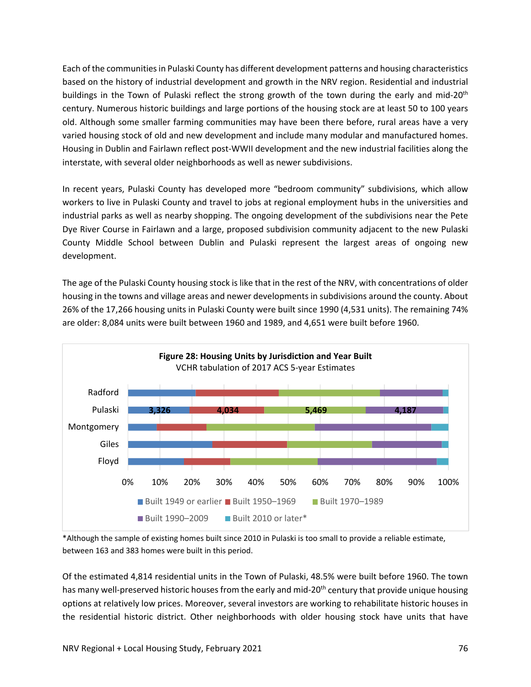Each of the communitiesin Pulaski County has different development patterns and housing characteristics based on the history of industrial development and growth in the NRV region. Residential and industrial buildings in the Town of Pulaski reflect the strong growth of the town during the early and mid-20<sup>th</sup> century. Numerous historic buildings and large portions of the housing stock are at least 50 to 100 years old. Although some smaller farming communities may have been there before, rural areas have a very varied housing stock of old and new development and include many modular and manufactured homes. Housing in Dublin and Fairlawn reflect post‐WWII development and the new industrial facilities along the interstate, with several older neighborhoods as well as newer subdivisions.

In recent years, Pulaski County has developed more "bedroom community" subdivisions, which allow workers to live in Pulaski County and travel to jobs at regional employment hubs in the universities and industrial parks as well as nearby shopping. The ongoing development of the subdivisions near the Pete Dye River Course in Fairlawn and a large, proposed subdivision community adjacent to the new Pulaski County Middle School between Dublin and Pulaski represent the largest areas of ongoing new development.

The age of the Pulaski County housing stock is like that in the rest of the NRV, with concentrations of older housing in the towns and village areas and newer developments in subdivisions around the county. About 26% of the 17,266 housing units in Pulaski County were built since 1990 (4,531 units). The remaining 74% are older: 8,084 units were built between 1960 and 1989, and 4,651 were built before 1960.



<sup>\*</sup>Although the sample of existing homes built since 2010 in Pulaski is too small to provide a reliable estimate, between 163 and 383 homes were built in this period.

Of the estimated 4,814 residential units in the Town of Pulaski, 48.5% were built before 1960. The town has many well-preserved historic houses from the early and mid-20<sup>th</sup> century that provide unique housing options at relatively low prices. Moreover, several investors are working to rehabilitate historic houses in the residential historic district. Other neighborhoods with older housing stock have units that have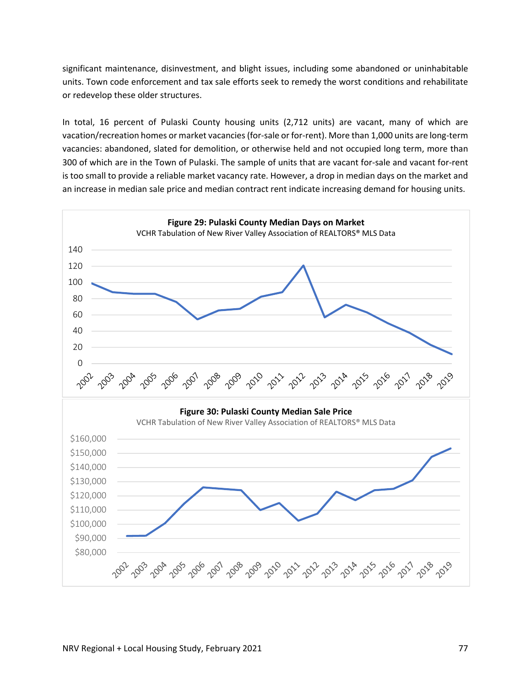significant maintenance, disinvestment, and blight issues, including some abandoned or uninhabitable units. Town code enforcement and tax sale efforts seek to remedy the worst conditions and rehabilitate or redevelop these older structures.

In total, 16 percent of Pulaski County housing units (2,712 units) are vacant, many of which are vacation/recreation homes or market vacancies (for-sale or for-rent). More than 1,000 units are long-term vacancies: abandoned, slated for demolition, or otherwise held and not occupied long term, more than 300 of which are in the Town of Pulaski. The sample of units that are vacant for‐sale and vacant for‐rent is too small to provide a reliable market vacancy rate. However, a drop in median days on the market and an increase in median sale price and median contract rent indicate increasing demand for housing units.

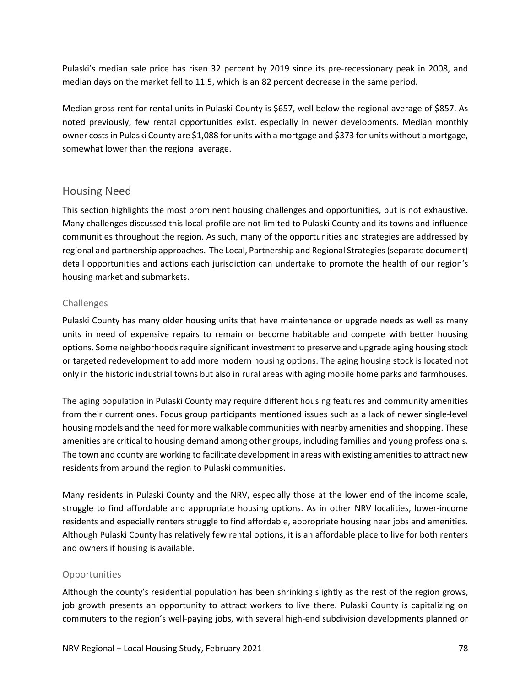Pulaski's median sale price has risen 32 percent by 2019 since its pre‐recessionary peak in 2008, and median days on the market fell to 11.5, which is an 82 percent decrease in the same period.

Median gross rent for rental units in Pulaski County is \$657, well below the regional average of \$857. As noted previously, few rental opportunities exist, especially in newer developments. Median monthly owner costsin Pulaski County are \$1,088 for units with a mortgage and \$373 for units without a mortgage, somewhat lower than the regional average.

### Housing Need

This section highlights the most prominent housing challenges and opportunities, but is not exhaustive. Many challenges discussed this local profile are not limited to Pulaski County and its towns and influence communities throughout the region. As such, many of the opportunities and strategies are addressed by regional and partnership approaches. The Local, Partnership and Regional Strategies(separate document) detail opportunities and actions each jurisdiction can undertake to promote the health of our region's housing market and submarkets.

#### Challenges

Pulaski County has many older housing units that have maintenance or upgrade needs as well as many units in need of expensive repairs to remain or become habitable and compete with better housing options. Some neighborhoods require significant investment to preserve and upgrade aging housing stock or targeted redevelopment to add more modern housing options. The aging housing stock is located not only in the historic industrial towns but also in rural areas with aging mobile home parks and farmhouses.

The aging population in Pulaski County may require different housing features and community amenities from their current ones. Focus group participants mentioned issues such as a lack of newer single‐level housing models and the need for more walkable communities with nearby amenities and shopping. These amenities are critical to housing demand among other groups, including families and young professionals. The town and county are working to facilitate development in areas with existing amenities to attract new residents from around the region to Pulaski communities.

Many residents in Pulaski County and the NRV, especially those at the lower end of the income scale, struggle to find affordable and appropriate housing options. As in other NRV localities, lower‐income residents and especially renters struggle to find affordable, appropriate housing near jobs and amenities. Although Pulaski County has relatively few rental options, it is an affordable place to live for both renters and owners if housing is available.

#### **Opportunities**

Although the county's residential population has been shrinking slightly as the rest of the region grows, job growth presents an opportunity to attract workers to live there. Pulaski County is capitalizing on commuters to the region's well‐paying jobs, with several high‐end subdivision developments planned or